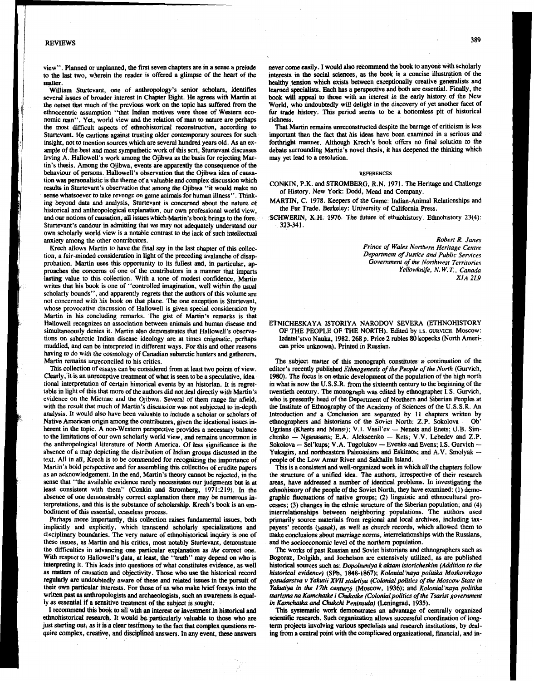## REVIEWS

view". Planned **or** unplanned, the first seven chapters are in a **sense** a prelude to the last two, wherein the reader is offered a glimpse of **the** heart of the **matter.** 

William Sturtevant, one of anthropology's senior scholars, identifies several issues of broader interest in Chapter Eight. He agrees with Martin at the outset that much of the previous work on the topic **has** suffered from **the**  ethnocentric assumption "that Indian motives were those of Western economic man". Yet, world view and the relation of man to nature are perhaps the most difficult aspects of ethnohistorical reconstruction, according to Sturtevant. He cautions against trusting older contemporary sources for such insight, not to mention sources which are several hundred years old. As an example of the best and most sympathetic work of **this** sort, Sturtevant discusses Irving A, Hallowell's work among the Ojibwa as the basis forrejecting Martin's thesis. Among the Ojibwa, events are apparently the consequence of **the**  behaviour of **persons.** Hallowell's observation that the Ojibwa idea of causation was personalistic is the theme of avaluable and complex discussion which resuits in Sturtevant's observation that among *the* Ojibwa "it would make no *sense* whatsoever to take revenge on game animals for human illness". Thinking beyond **data** and analysis, Sturtevant is concerned about the nature of historical and anthropological explanation, our own professional world view, and our notions of causation, all issues which Martin's book brings to the fore. Sturtevant's candour in admitting that we may not adequately understand our own scholarly world view is a notable contrast to the lack of such intellectual anxiety among the other contributors.

Krech allows Martin to have the final say in the last chapter of this collection, a fair-minded consideration in light of the preceding avalanche of disap probation. Martin uses this opportunity to its fullest and, in particular, approaches **the** concerns **of** one of the contributors in a manner that imparts lasting value to this collection. With a tone **of** modest confidence, Martin writes that his book is one of "controlled imagination, well within *the* usual scholarly bounds", and apparently regrets that *the* authors of this volume are not concerned with his book on that plane. The **one** exception is Sturtevant, whose provocative discussion **of** Hallowell is given special consideration by Martin in his concluding remarks. The gist of Martin's remarks is that Hallowell recognizes an association between animals and human disease and simultaneously denies it. Martin also demonstrates that Hallowell's observations on subarctic Indian disease ideology are at times enigmatic, perhaps muddled, and can be interpreted in different ways. For this and other **reasons**  having to do with the cosmology of Canadian subarctic hunters and gatherers, Martin remains unreconciled to his critics.

This collection of essays can be considered from at least two points of view. Clearly,'it is an unreceptive treatment of what is Seen to be a speculative, **idea**tional interpretation of certain historical events by an historian. It is regrettable in light of this that more of the authors did not **deal** directly with Martin's evidence on the Micmac and the Ojibwa. Several of them range far afield, with the result that much of Martin's discussion **was** not subjected to in-depth analysis. It would also have been valuable to include a scholar **or** scholars of Native American origin among the contributors, given the ideational issues in-<br>herent in the topic. A non-Western perspective provides a necessary balance Ugrians (Khants and Mansi); V.I. Vasil'ev - Nenets and Enets; U.B. herent in the topic. A non-Western perspective provides a necessary balance to the limitations of our own scholarly world view, and remains uncommon in the anthropological literature of North **America. Of** less significance is the absence of a map depicting the distribution of Indian **groups** discussed in the text. All in all, Krech is to be commended for recognizing the importance of Martin's bold perspective and for assembling this collection of erudite papers as an acknowledgement. In the end, Martin's **theory** cannot be rejected, in **the**  sense that "the available evidence rarely necessitates our judgments but is at least consistent with them" (Conkin and Stromberg, **1971:219).** In the absence of one demonstrably correct explanation there may be numerous interpretations, and this is the substance of scholarship. Krech's **book** is an embodiment of this essential, ceaseless process.

Perhaps more importantly, this collection raises fundamental issues, both implicitly and explicitly, which transcend scholarly specializations and disciplinary boundaries. The very nature of ethnohistorical inquiry is one of these issues, as Martin and his critics, most notably Sturtevant, demonstrate the difficulties in advancing one particular explanation as the correct one. with respect to Hallowell's **data,** at least, the "truth" may depend *on* who interpreting it. This **leads** into questions of what constitutes evidence, **as** well *as* **mptters** of causation and objectivity, **Those** who use the historical record regularly **are** undoubtedly aware of **these** and related issues in the pursuit of their **own** particular interests. For those of us who make brief forays into **the**  written past as anthropologists and archaeologists, such an awareness is equally as essential if a sensitive treatment of **the** subject is sought.

I recommend this book to all with an interest *or* investment in historical **and**  ethnohistorid **research** It would **be** particularly valuable to those who are just starting *out,* as it is a clear testimony to **the** fact that complex questions **n**quire complex, creative, **and** disciptined **answers.** In **any** event, these answers never *come* easily. I would also rekommend the book to anyone with scholarly interests in **the** social sciences, as the book is a concise illustration of **the**  healthy tension which exists between exceptionally creative generalists and learned specialists. Each has a perspective and both are essential. Finally, the book **will** appeal to those with an interest in **the** early history **of** the New World, who undoubtedly will delight in the discovery of yet another facet of **fur** trade history. This period seems to be a bottomless pit of historical richness.

That Martin remains unreconstructed despite the barrage of criticism is less important than the fact that his ideas have been examined in a serious and forthright manner. Although Krech's book offers no final solution *to* the debate surrounding Martin's novel thesis, it has deepened the thinking which may yet **lead** to a resolution.

## **REFERENCES**

CONKIN, P.K. and STROMBERG, R.N. 1971. **The** Heritage and Challenge of History. New York: Dodd, Mead and Company.

MARTIN, C. **1978.** Keepers of the Game: Indian-Animal Relationships and the Fur Trade. Berkeley: University of California Press.

SCHWERIN, K.H. **.1976.** The future of ethnohistory. Ethnohistory **23(4): 323-341.** 

> *Robert R. Janes Prince of Wales Northern Heritage Centre Department of Justice and Public Services Government* **of** *the Northwest Territories Yellowknife, N. W. T., Canada XlA 2L9*

## ETNICHESKAYA ISTORIYA NARODOV SEVERA (ETHNOHISTORY OF THE PEOPLE OF THE NORTH). Edited by **1,s. GURVICH.** Moscow: Izdatel'stvo Nauka, **1982.268** p. Price **2** rubles *80* kopecks (North American price unknown). Printed in Russian.

The subject matter of this monograph constitutes a continuation of the editor's recently published *Efhnogenesis of the People of the North* (Gurvich, **1980).** The focus is on ethnic development of **the** population of the high north in what is now **the** U.S.S.R. from the sixteenth century to the beginning of the twentieth century. The monograph was edited by ethnographer I.S. Gurvich, who is presently head of the Department of Northern and Siberian Peoples at the Institute of Ethnography of the Academy of Sciences of the U.S.S.R. An Introduction and **a** Conclusion are separated by **11** chapters written by ethnographers and historians of the Soviet North: Z.P. Sokolova - Ob'<br>ethnographers and historians of the Soviet North: Z.P. Sokolova - Ob' ethnographers and historians of the Soviet North: Z.P. Sokolova – Oblyrians (Khants and Mansi); V.I. Vasil'ev – Nenets and Enets; U.B. Simcuinographers and mistorians of the Soviet Norm: Z.P. Sokolova - Oo<br>Ugrians (Khants and Mansi); V.I. Vasil'ev - Nenets and Enets; U.B. Sim-<br>chenko - Nganasans; E.A. Alekseenko - Kets; V.V. Lebedev and Z.P. Sokolova - Sel'kups; V.A. Vasar v- Twan Chenko - Kets; V.V. Lebedev and Z.P.<br>Sokolova - Sel'kups; V.A. Tugolukov - Evenks and Evens; I.S. Gurvich --<br>Yukagirs, and northeastern Paleoasians and Eskimos; and A.V. Smolyak --<br>p

This is a consistent and well-organized work in which all *the* chapters follow the structure of a unified idea. The authors, irrespective of their research areas, have addressed a number of identical problems. In investigating the ethnohistory of the people of the Soviet North, they have examined: (1) demographic fluctuations *of* native groups; **(2)** linguistic and ethnocultural processes; **(3)** changes in the ethnic structure of the Siberian population; and **(4)**  interrelationships between neighboring populations. The authors used primarily source materials from regional **and** local archives, including **tax**payers' records (yasak), as well as church records, which allowed them to make conclusions about marriage norms, interrelationships with the Russians, and the socioeconomic level of the northern population.

**The** works of past Russian and Soviet historians **and** ethnographers such **as**  Bogoraz, Dolgikh, and Jochelson are extensively utilized, as are published historical sources such **as:** *Dopdneniya k aktam istorickskim (Adition to the historical evidence)* **(SPb, 1&48-186v,** *Kdonial* 'nap *polirika Moskovskogo*  gosudarstva v Yakutii XVII stoletiya (Colonial politics of the Moscow State in *Yakutiya in the 17th century)* (Moscow, **1936); and** *Kolonial'naya politika tsarizma na Kamchatke i Chukotke (Colonial politics of the Tsarist government in Kamchatka and Chukchi Peninsula)* (Leningrad, **1935).** 

This systematic work demonstrates an advantage of centrally organized scientific research. Such organization allows successful coordination of longterm projects involving various specialists and research institutions, by dealing **from** a central point with **the** complicated organizational, financial, and in